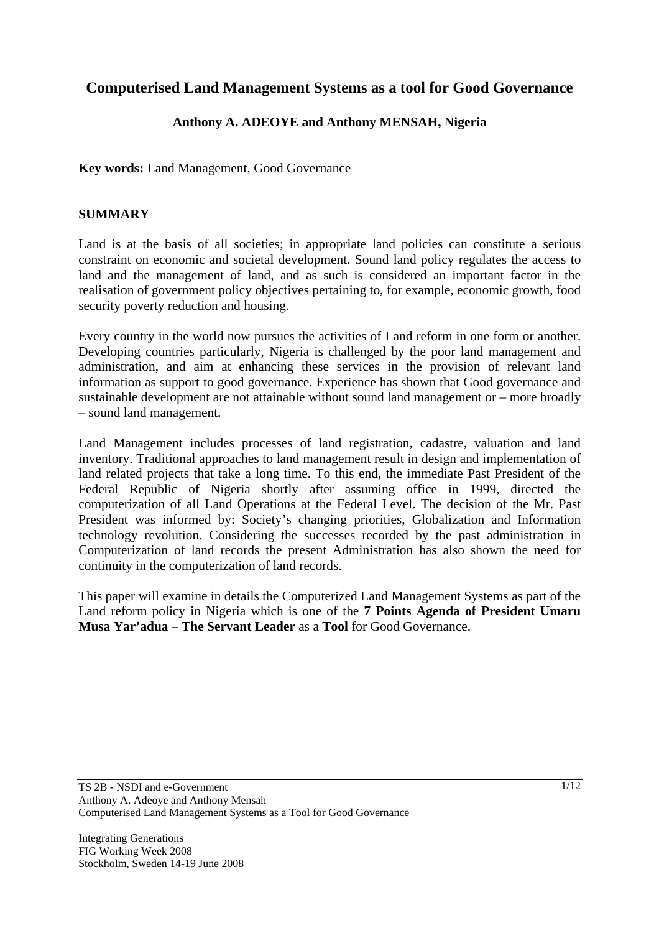# **Computerised Land Management Systems as a tool for Good Governance**

# **Anthony A. ADEOYE and Anthony MENSAH, Nigeria**

**Key words:** Land Management, Good Governance

#### **SUMMARY**

Land is at the basis of all societies; in appropriate land policies can constitute a serious constraint on economic and societal development. Sound land policy regulates the access to land and the management of land, and as such is considered an important factor in the realisation of government policy objectives pertaining to, for example, economic growth, food security poverty reduction and housing.

Every country in the world now pursues the activities of Land reform in one form or another. Developing countries particularly, Nigeria is challenged by the poor land management and administration, and aim at enhancing these services in the provision of relevant land information as support to good governance. Experience has shown that Good governance and sustainable development are not attainable without sound land management or – more broadly – sound land management.

Land Management includes processes of land registration, cadastre, valuation and land inventory. Traditional approaches to land management result in design and implementation of land related projects that take a long time. To this end, the immediate Past President of the Federal Republic of Nigeria shortly after assuming office in 1999, directed the computerization of all Land Operations at the Federal Level. The decision of the Mr. Past President was informed by: Society's changing priorities, Globalization and Information technology revolution. Considering the successes recorded by the past administration in Computerization of land records the present Administration has also shown the need for continuity in the computerization of land records.

This paper will examine in details the Computerized Land Management Systems as part of the Land reform policy in Nigeria which is one of the **7 Points Agenda of President Umaru Musa Yar'adua – The Servant Leader** as a **Tool** for Good Governance.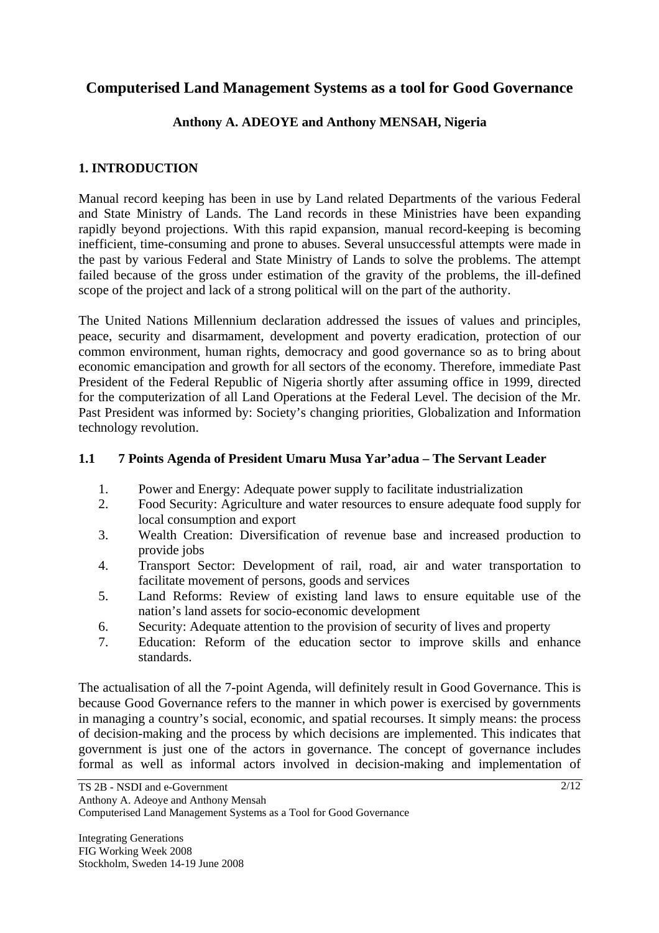# **Computerised Land Management Systems as a tool for Good Governance**

# **Anthony A. ADEOYE and Anthony MENSAH, Nigeria**

## **1. INTRODUCTION**

Manual record keeping has been in use by Land related Departments of the various Federal and State Ministry of Lands. The Land records in these Ministries have been expanding rapidly beyond projections. With this rapid expansion, manual record-keeping is becoming inefficient, time-consuming and prone to abuses. Several unsuccessful attempts were made in the past by various Federal and State Ministry of Lands to solve the problems. The attempt failed because of the gross under estimation of the gravity of the problems, the ill-defined scope of the project and lack of a strong political will on the part of the authority.

The United Nations Millennium declaration addressed the issues of values and principles, peace, security and disarmament, development and poverty eradication, protection of our common environment, human rights, democracy and good governance so as to bring about economic emancipation and growth for all sectors of the economy. Therefore, immediate Past President of the Federal Republic of Nigeria shortly after assuming office in 1999, directed for the computerization of all Land Operations at the Federal Level. The decision of the Mr. Past President was informed by: Society's changing priorities, Globalization and Information technology revolution.

## **1.1 7 Points Agenda of President Umaru Musa Yar'adua – The Servant Leader**

- 1. Power and Energy: Adequate power supply to facilitate industrialization
- 2. Food Security: Agriculture and water resources to ensure adequate food supply for local consumption and export
- 3. Wealth Creation: Diversification of revenue base and increased production to provide jobs
- 4. Transport Sector: Development of rail, road, air and water transportation to facilitate movement of persons, goods and services
- 5. Land Reforms: Review of existing land laws to ensure equitable use of the nation's land assets for socio-economic development
- 6. Security: Adequate attention to the provision of security of lives and property
- 7. Education: Reform of the education sector to improve skills and enhance standards.

The actualisation of all the 7-point Agenda, will definitely result in Good Governance. This is because Good Governance refers to the manner in which power is exercised by governments in managing a country's social, economic, and spatial recourses. It simply means: the process of decision-making and the process by which decisions are implemented. This indicates that government is just one of the actors in governance. The concept of governance includes formal as well as informal actors involved in decision-making and implementation of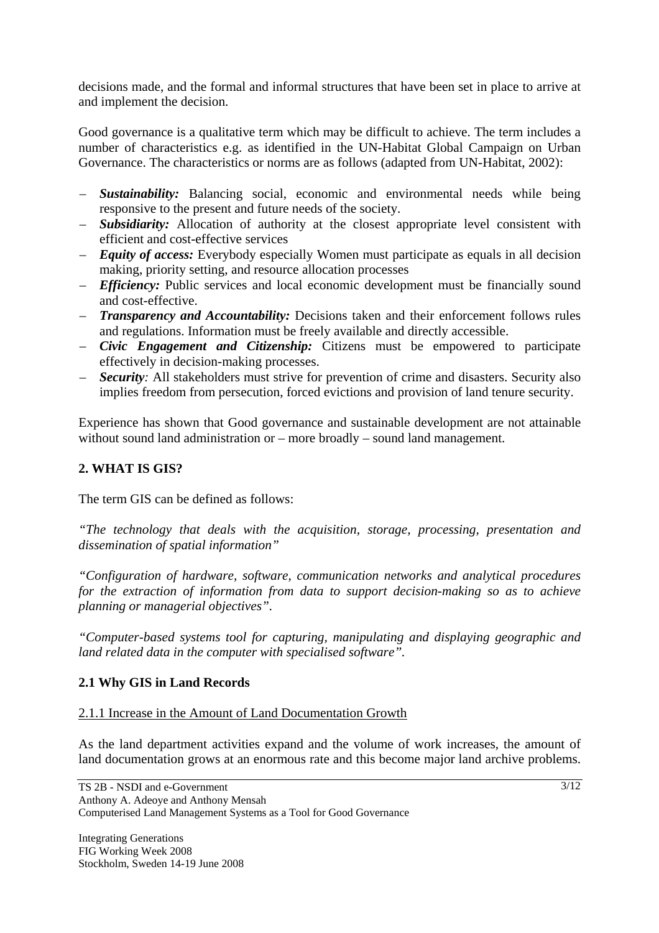decisions made, and the formal and informal structures that have been set in place to arrive at and implement the decision.

Good governance is a qualitative term which may be difficult to achieve. The term includes a number of characteristics e.g. as identified in the UN-Habitat Global Campaign on Urban Governance. The characteristics or norms are as follows (adapted from UN-Habitat, 2002):

- *Sustainability:* Balancing social, economic and environmental needs while being responsive to the present and future needs of the society.
- *Subsidiarity:* Allocation of authority at the closest appropriate level consistent with efficient and cost-effective services
- *Equity of access:* Everybody especially Women must participate as equals in all decision making, priority setting, and resource allocation processes
- *Efficiency:* Public services and local economic development must be financially sound and cost-effective.
- *Transparency and Accountability:* Decisions taken and their enforcement follows rules and regulations. Information must be freely available and directly accessible.
- *Civic Engagement and Citizenship:* Citizens must be empowered to participate effectively in decision-making processes.
- *Security:* All stakeholders must strive for prevention of crime and disasters. Security also implies freedom from persecution, forced evictions and provision of land tenure security.

Experience has shown that Good governance and sustainable development are not attainable without sound land administration or – more broadly – sound land management.

# **2. WHAT IS GIS?**

The term GIS can be defined as follows:

*"The technology that deals with the acquisition, storage, processing, presentation and dissemination of spatial information"* 

*"Configuration of hardware, software, communication networks and analytical procedures for the extraction of information from data to support decision-making so as to achieve planning or managerial objectives".* 

*"Computer-based systems tool for capturing, manipulating and displaying geographic and land related data in the computer with specialised software".* 

# **2.1 Why GIS in Land Records**

## 2.1.1 Increase in the Amount of Land Documentation Growth

As the land department activities expand and the volume of work increases, the amount of land documentation grows at an enormous rate and this become major land archive problems.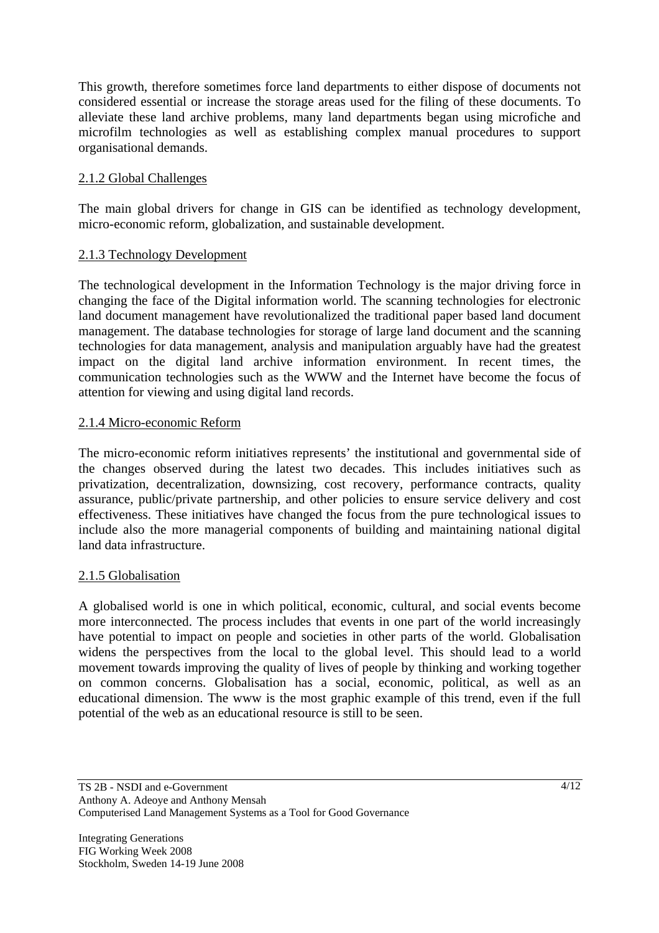This growth, therefore sometimes force land departments to either dispose of documents not considered essential or increase the storage areas used for the filing of these documents. To alleviate these land archive problems, many land departments began using microfiche and microfilm technologies as well as establishing complex manual procedures to support organisational demands.

## 2.1.2 Global Challenges

The main global drivers for change in GIS can be identified as technology development, micro-economic reform, globalization, and sustainable development.

## 2.1.3 Technology Development

The technological development in the Information Technology is the major driving force in changing the face of the Digital information world. The scanning technologies for electronic land document management have revolutionalized the traditional paper based land document management. The database technologies for storage of large land document and the scanning technologies for data management, analysis and manipulation arguably have had the greatest impact on the digital land archive information environment. In recent times, the communication technologies such as the WWW and the Internet have become the focus of attention for viewing and using digital land records.

# 2.1.4 Micro-economic Reform

The micro-economic reform initiatives represents' the institutional and governmental side of the changes observed during the latest two decades. This includes initiatives such as privatization, decentralization, downsizing, cost recovery, performance contracts, quality assurance, public/private partnership, and other policies to ensure service delivery and cost effectiveness. These initiatives have changed the focus from the pure technological issues to include also the more managerial components of building and maintaining national digital land data infrastructure.

## 2.1.5 Globalisation

A globalised world is one in which political, economic, cultural, and social events become more interconnected. The process includes that events in one part of the world increasingly have potential to impact on people and societies in other parts of the world. Globalisation widens the perspectives from the local to the global level. This should lead to a world movement towards improving the quality of lives of people by thinking and working together on common concerns. Globalisation has a social, economic, political, as well as an educational dimension. The www is the most graphic example of this trend, even if the full potential of the web as an educational resource is still to be seen.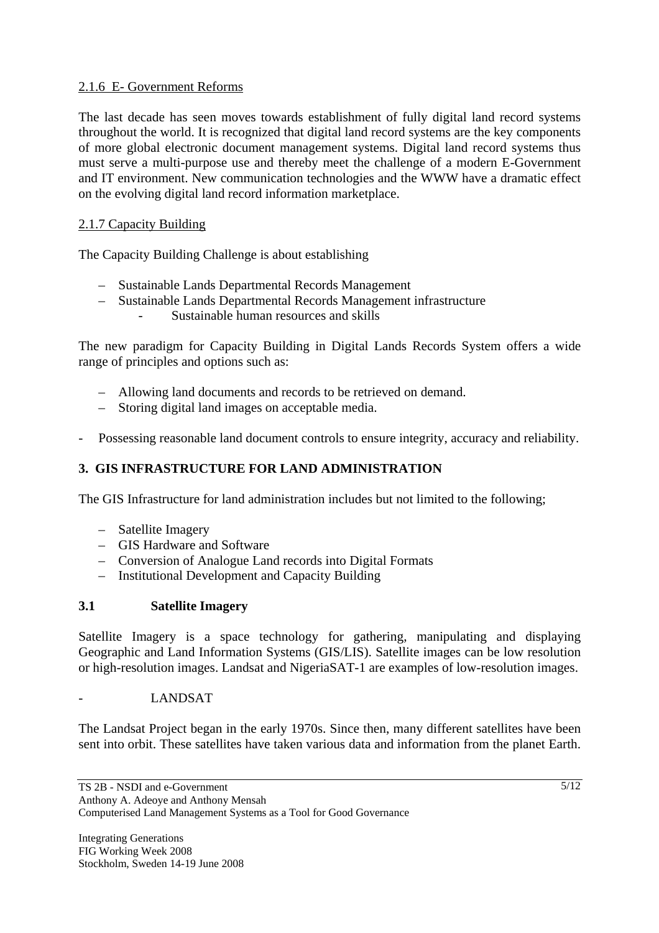# 2.1.6 E- Government Reforms

The last decade has seen moves towards establishment of fully digital land record systems throughout the world. It is recognized that digital land record systems are the key components of more global electronic document management systems. Digital land record systems thus must serve a multi-purpose use and thereby meet the challenge of a modern E-Government and IT environment. New communication technologies and the WWW have a dramatic effect on the evolving digital land record information marketplace.

## 2.1.7 Capacity Building

The Capacity Building Challenge is about establishing

- Sustainable Lands Departmental Records Management
- Sustainable Lands Departmental Records Management infrastructure
	- Sustainable human resources and skills

The new paradigm for Capacity Building in Digital Lands Records System offers a wide range of principles and options such as:

- Allowing land documents and records to be retrieved on demand.
- Storing digital land images on acceptable media.
- Possessing reasonable land document controls to ensure integrity, accuracy and reliability.

# **3. GIS INFRASTRUCTURE FOR LAND ADMINISTRATION**

The GIS Infrastructure for land administration includes but not limited to the following;

- Satellite Imagery
- GIS Hardware and Software
- Conversion of Analogue Land records into Digital Formats
- Institutional Development and Capacity Building

## **3.1 Satellite Imagery**

Satellite Imagery is a space technology for gathering, manipulating and displaying Geographic and Land Information Systems (GIS/LIS). Satellite images can be low resolution or high-resolution images. Landsat and NigeriaSAT-1 are examples of low-resolution images.

#### - LANDSAT

The Landsat Project began in the early 1970s. Since then, many different satellites have been sent into orbit. These satellites have taken various data and information from the planet Earth.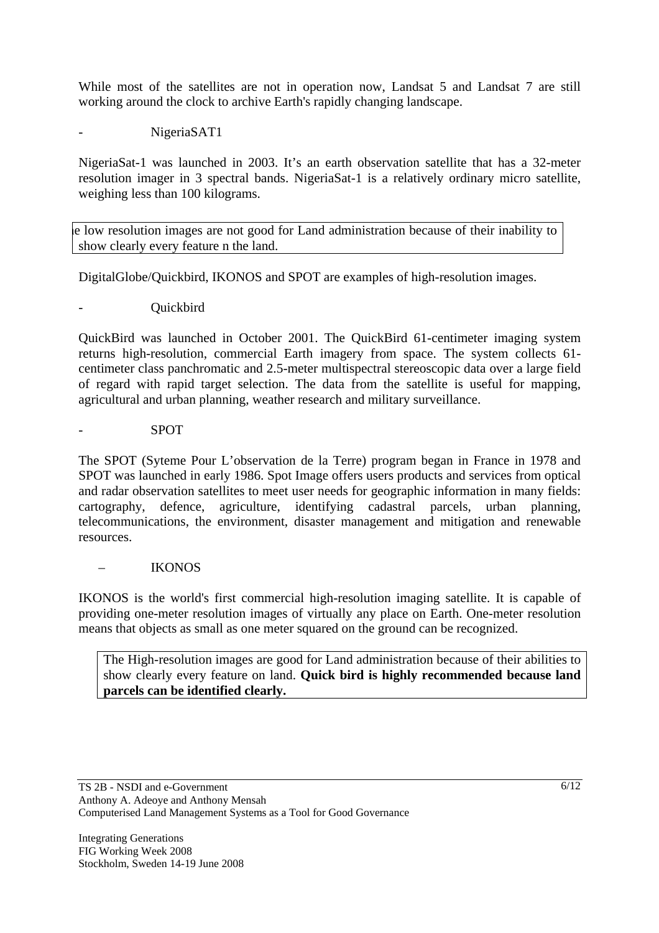While most of the satellites are not in operation now, Landsat 5 and Landsat 7 are still working around the clock to archive Earth's rapidly changing landscape.

## NigeriaSAT1

NigeriaSat-1 was launched in 2003. It's an earth observation satellite that has a 32-meter resolution imager in 3 spectral bands. NigeriaSat-1 is a relatively ordinary micro satellite, weighing less than 100 kilograms.

e low resolution images are not good for Land administration because of their inability to show clearly every feature n the land.

DigitalGlobe/Quickbird, IKONOS and SPOT are examples of high-resolution images.

## **Ouickbird**

QuickBird was launched in October 2001. The QuickBird 61-centimeter imaging system returns high-resolution, commercial Earth imagery from space. The system collects 61 centimeter class panchromatic and 2.5-meter multispectral stereoscopic data over a large field of regard with rapid target selection. The data from the satellite is useful for mapping, agricultural and urban planning, weather research and military surveillance.

#### - SPOT

The SPOT (Syteme Pour L'observation de la Terre) program began in France in 1978 and SPOT was launched in early 1986. Spot Image offers users products and services from optical and radar observation satellites to meet user needs for geographic information in many fields: cartography, defence, agriculture, identifying cadastral parcels, urban planning, telecommunications, the environment, disaster management and mitigation and renewable resources.

## – IKONOS

IKONOS is the world's first commercial high-resolution imaging satellite. It is capable of providing one-meter resolution images of virtually any place on Earth. One-meter resolution means that objects as small as one meter squared on the ground can be recognized.

The High-resolution images are good for Land administration because of their abilities to show clearly every feature on land. **Quick bird is highly recommended because land parcels can be identified clearly.**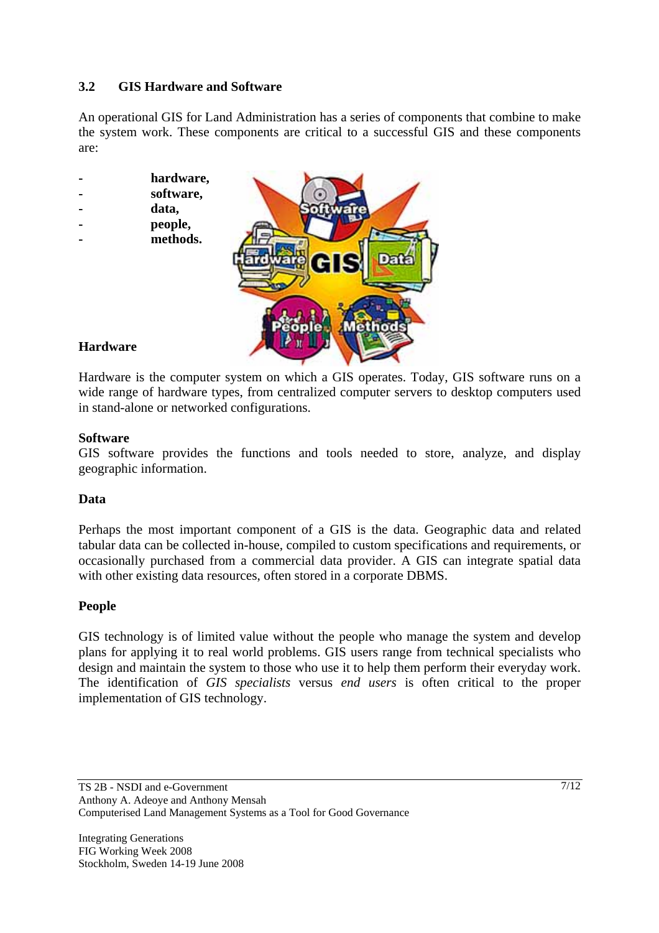## **3.2 GIS Hardware and Software**

An operational GIS for Land Administration has a series of components that combine to make the system work. These components are critical to a successful GIS and these components are:

- **hardware,**
- **software,**
- **data,**
- **people, - methods.**
- 



## **Hardware**

Hardware is the computer system on which a GIS operates. Today, GIS software runs on a wide range of hardware types, from centralized computer servers to desktop computers used in stand-alone or networked configurations.

## **Software**

GIS software provides the functions and tools needed to store, analyze, and display geographic information.

## **Data**

Perhaps the most important component of a GIS is the data. Geographic data and related tabular data can be collected in-house, compiled to custom specifications and requirements, or occasionally purchased from a commercial data provider. A GIS can integrate spatial data with other existing data resources, often stored in a corporate DBMS.

## **People**

GIS technology is of limited value without the people who manage the system and develop plans for applying it to real world problems. GIS users range from technical specialists who design and maintain the system to those who use it to help them perform their everyday work. The identification of *GIS specialists* versus *end users* is often critical to the proper implementation of GIS technology.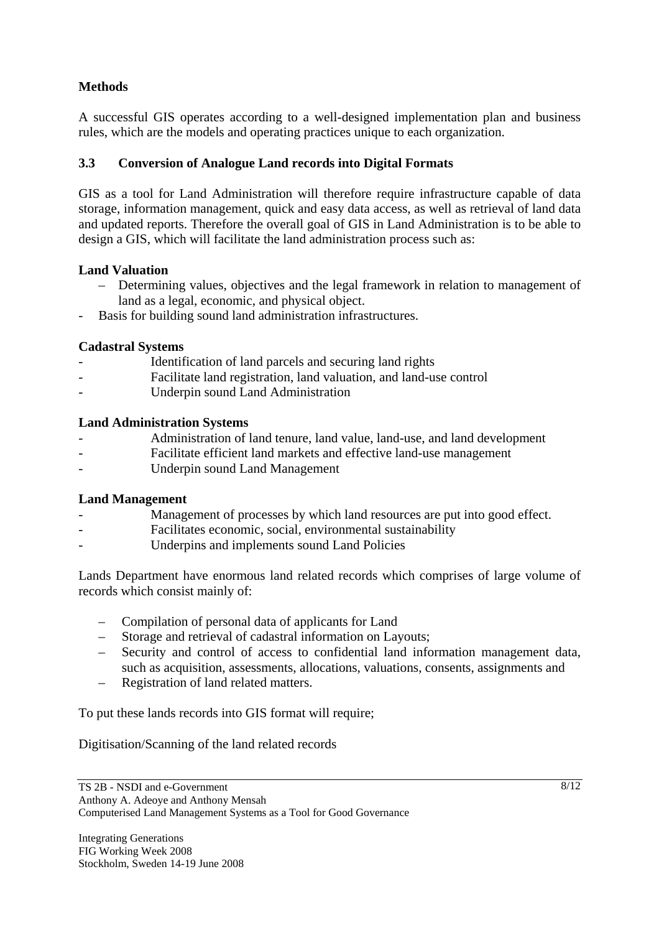# **Methods**

A successful GIS operates according to a well-designed implementation plan and business rules, which are the models and operating practices unique to each organization.

## **3.3 Conversion of Analogue Land records into Digital Formats**

GIS as a tool for Land Administration will therefore require infrastructure capable of data storage, information management, quick and easy data access, as well as retrieval of land data and updated reports. Therefore the overall goal of GIS in Land Administration is to be able to design a GIS, which will facilitate the land administration process such as:

## **Land Valuation**

- Determining values, objectives and the legal framework in relation to management of land as a legal, economic, and physical object.
- Basis for building sound land administration infrastructures.

## **Cadastral Systems**

- Identification of land parcels and securing land rights
- Facilitate land registration, land valuation, and land-use control
- Underpin sound Land Administration

#### **Land Administration Systems**

- Administration of land tenure, land value, land-use, and land development
- Facilitate efficient land markets and effective land-use management
- Underpin sound Land Management

#### **Land Management**

- Management of processes by which land resources are put into good effect.
- Facilitates economic, social, environmental sustainability
- Underpins and implements sound Land Policies

Lands Department have enormous land related records which comprises of large volume of records which consist mainly of:

- Compilation of personal data of applicants for Land
- Storage and retrieval of cadastral information on Layouts;
- Security and control of access to confidential land information management data, such as acquisition, assessments, allocations, valuations, consents, assignments and
- Registration of land related matters.

To put these lands records into GIS format will require;

Digitisation/Scanning of the land related records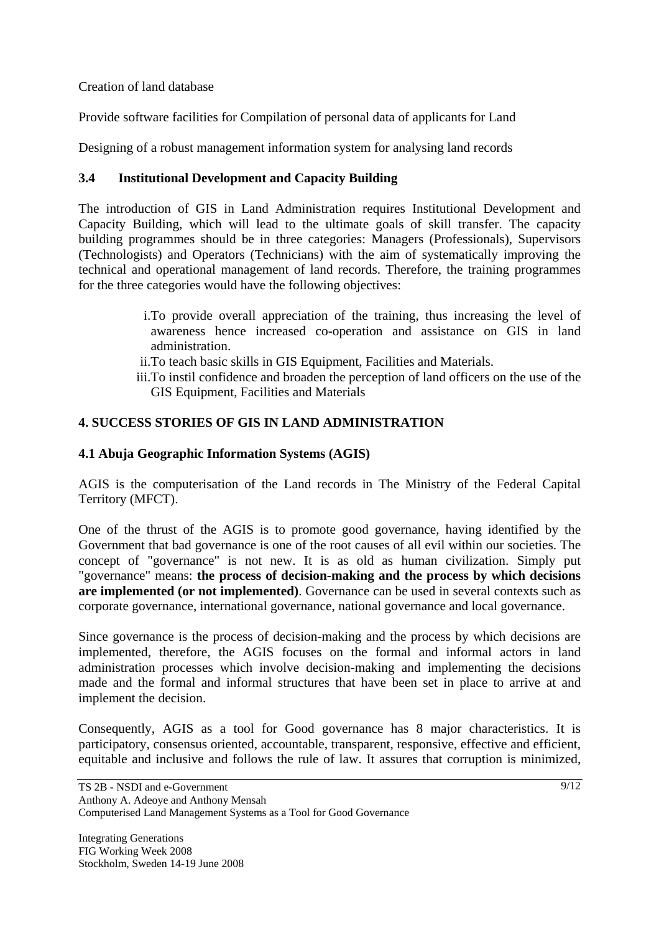Creation of land database

Provide software facilities for Compilation of personal data of applicants for Land

Designing of a robust management information system for analysing land records

# **3.4 Institutional Development and Capacity Building**

The introduction of GIS in Land Administration requires Institutional Development and Capacity Building, which will lead to the ultimate goals of skill transfer. The capacity building programmes should be in three categories: Managers (Professionals), Supervisors (Technologists) and Operators (Technicians) with the aim of systematically improving the technical and operational management of land records. Therefore, the training programmes for the three categories would have the following objectives:

- i.To provide overall appreciation of the training, thus increasing the level of awareness hence increased co-operation and assistance on GIS in land administration.
- ii.To teach basic skills in GIS Equipment, Facilities and Materials.
- iii.To instil confidence and broaden the perception of land officers on the use of the GIS Equipment, Facilities and Materials

# **4. SUCCESS STORIES OF GIS IN LAND ADMINISTRATION**

# **4.1 Abuja Geographic Information Systems (AGIS)**

AGIS is the computerisation of the Land records in The Ministry of the Federal Capital Territory (MFCT).

One of the thrust of the AGIS is to promote good governance, having identified by the Government that bad governance is one of the root causes of all evil within our societies. The concept of "governance" is not new. It is as old as human civilization. Simply put "governance" means: **the process of decision-making and the process by which decisions are implemented (or not implemented)**. Governance can be used in several contexts such as corporate governance, international governance, national governance and local governance.

Since governance is the process of decision-making and the process by which decisions are implemented, therefore, the AGIS focuses on the formal and informal actors in land administration processes which involve decision-making and implementing the decisions made and the formal and informal structures that have been set in place to arrive at and implement the decision.

Consequently, AGIS as a tool for Good governance has 8 major characteristics. It is participatory, consensus oriented, accountable, transparent, responsive, effective and efficient, equitable and inclusive and follows the rule of law. It assures that corruption is minimized,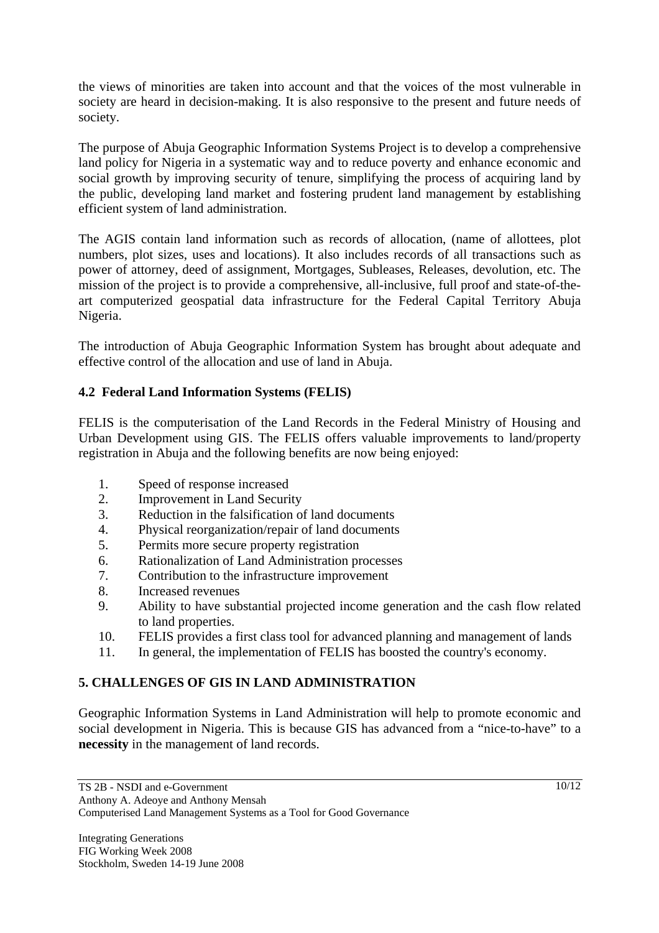the views of minorities are taken into account and that the voices of the most vulnerable in society are heard in decision-making. It is also responsive to the present and future needs of society.

The purpose of Abuja Geographic Information Systems Project is to develop a comprehensive land policy for Nigeria in a systematic way and to reduce poverty and enhance economic and social growth by improving security of tenure, simplifying the process of acquiring land by the public, developing land market and fostering prudent land management by establishing efficient system of land administration.

The AGIS contain land information such as records of allocation, (name of allottees, plot numbers, plot sizes, uses and locations). It also includes records of all transactions such as power of attorney, deed of assignment, Mortgages, Subleases, Releases, devolution, etc. The mission of the project is to provide a comprehensive, all-inclusive, full proof and state-of-theart computerized geospatial data infrastructure for the Federal Capital Territory Abuja Nigeria.

The introduction of Abuja Geographic Information System has brought about adequate and effective control of the allocation and use of land in Abuja.

# **4.2 Federal Land Information Systems (FELIS)**

FELIS is the computerisation of the Land Records in the Federal Ministry of Housing and Urban Development using GIS. The FELIS offers valuable improvements to land/property registration in Abuja and the following benefits are now being enjoyed:

- 1. Speed of response increased
- 2. Improvement in Land Security
- 3. Reduction in the falsification of land documents
- 4. Physical reorganization/repair of land documents
- 5. Permits more secure property registration
- 6. Rationalization of Land Administration processes
- 7. Contribution to the infrastructure improvement
- 8. Increased revenues
- 9. Ability to have substantial projected income generation and the cash flow related to land properties.
- 10. FELIS provides a first class tool for advanced planning and management of lands
- 11. In general, the implementation of FELIS has boosted the country's economy.

## **5. CHALLENGES OF GIS IN LAND ADMINISTRATION**

Geographic Information Systems in Land Administration will help to promote economic and social development in Nigeria. This is because GIS has advanced from a "nice-to-have" to a **necessity** in the management of land records.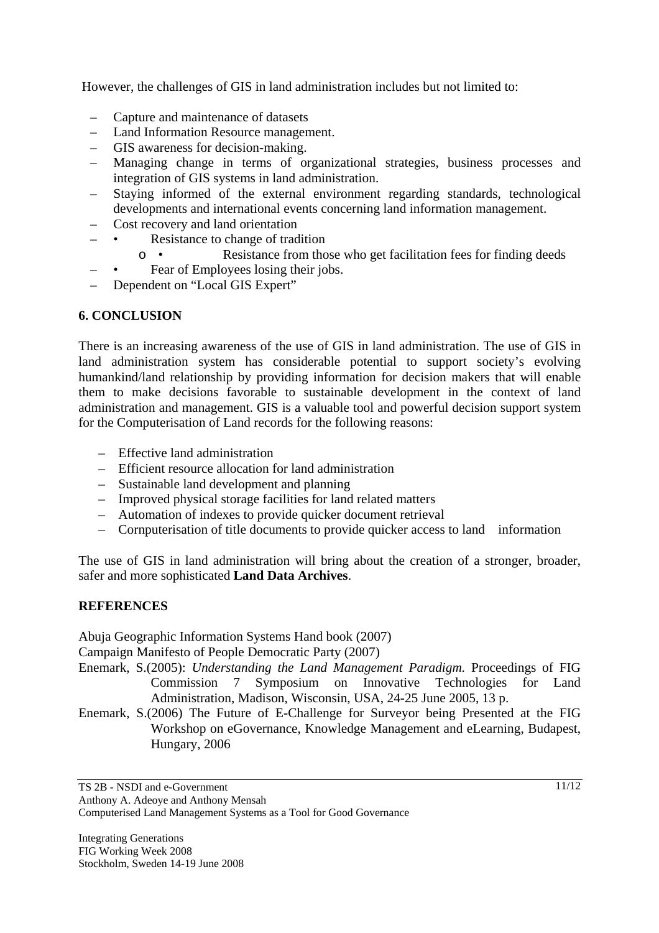However, the challenges of GIS in land administration includes but not limited to:

- Capture and maintenance of datasets
- Land Information Resource management.
- GIS awareness for decision-making.
- Managing change in terms of organizational strategies, business processes and integration of GIS systems in land administration.
- Staying informed of the external environment regarding standards, technological developments and international events concerning land information management.
- Cost recovery and land orientation
- • Resistance to change of tradition
	- o Resistance from those who get facilitation fees for finding deeds
	- Fear of Employees losing their jobs.
- Dependent on "Local GIS Expert"

# **6. CONCLUSION**

There is an increasing awareness of the use of GIS in land administration. The use of GIS in land administration system has considerable potential to support society's evolving humankind/land relationship by providing information for decision makers that will enable them to make decisions favorable to sustainable development in the context of land administration and management. GIS is a valuable tool and powerful decision support system for the Computerisation of Land records for the following reasons:

- Effective land administration
- Efficient resource allocation for land administration
- Sustainable land development and planning
- Improved physical storage facilities for land related matters
- Automation of indexes to provide quicker document retrieval
- Cornputerisation of title documents to provide quicker access to land information

The use of GIS in land administration will bring about the creation of a stronger, broader, safer and more sophisticated **Land Data Archives**.

# **REFERENCES**

Abuja Geographic Information Systems Hand book (2007)

Campaign Manifesto of People Democratic Party (2007)

Enemark, S.(2005): *Understanding the Land Management Paradigm.* Proceedings of FIG Commission 7 Symposium on Innovative Technologies for Land Administration, Madison, Wisconsin, USA, 24-25 June 2005, 13 p.

Enemark, S.(2006) The Future of E-Challenge for Surveyor being Presented at the FIG Workshop on eGovernance, Knowledge Management and eLearning, Budapest, Hungary, 2006